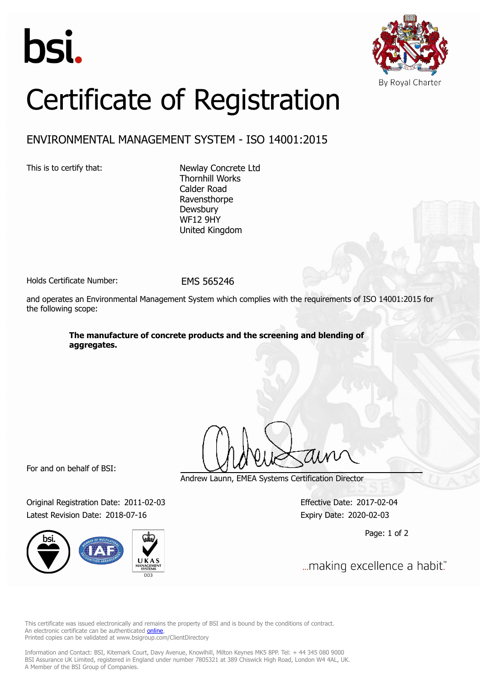



## Certificate of Registration

## ENVIRONMENTAL MANAGEMENT SYSTEM - ISO 14001:2015

This is to certify that: Newlay Concrete Ltd Thornhill Works Calder Road Ravensthorpe **Dewsbury** WF12 9HY United Kingdom

Holds Certificate Number: FMS 565246

and operates an Environmental Management System which complies with the requirements of ISO 14001:2015 for the following scope:

> **The manufacture of concrete products and the screening and blending of aggregates.**

For and on behalf of BSI:

Original Registration Date: 2011-02-03 Effective Date: 2017-02-04 Latest Revision Date: 2018-07-16 Expiry Date: 2020-02-03



Andrew Launn, EMEA Systems Certification Director

Page: 1 of 2

... making excellence a habit."

This certificate was issued electronically and remains the property of BSI and is bound by the conditions of contract. An electronic certificate can be authenticated **[online](https://pgplus.bsigroup.com/CertificateValidation/CertificateValidator.aspx?CertificateNumber=EMS+565246&ReIssueDate=16%2f07%2f2018&Template=uk)**. Printed copies can be validated at www.bsigroup.com/ClientDirectory

Information and Contact: BSI, Kitemark Court, Davy Avenue, Knowlhill, Milton Keynes MK5 8PP. Tel: + 44 345 080 9000 BSI Assurance UK Limited, registered in England under number 7805321 at 389 Chiswick High Road, London W4 4AL, UK. A Member of the BSI Group of Companies.